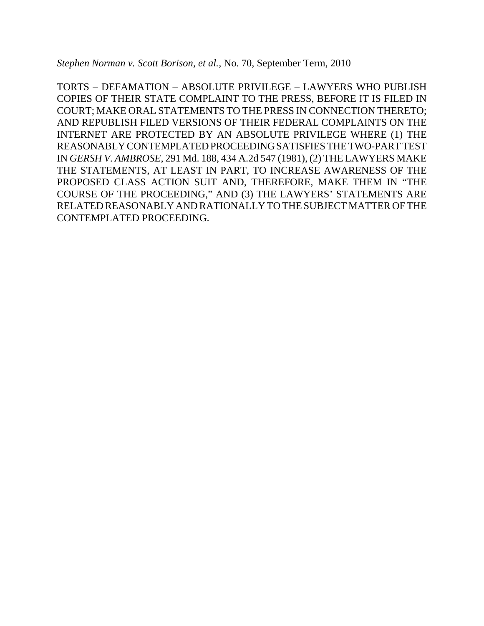*Stephen Norman v. Scott Borison, et al.*, No. 70, September Term, 2010

TORTS – DEFAMATION – ABSOLUTE PRIVILEGE – LAWYERS WHO PUBLISH COPIES OF THEIR STATE COMPLAINT TO THE PRESS, BEFORE IT IS FILED IN COURT; MAKE ORAL STATEMENTS TO THE PRESS IN CONNECTION THERETO; AND REPUBLISH FILED VERSIONS OF THEIR FEDERAL COMPLAINTS ON THE INTERNET ARE PROTECTED BY AN ABSOLUTE PRIVILEGE WHERE (1) THE REASONABLY CONTEMPLATED PROCEEDING SATISFIES THE TWO-PART TEST IN *GERSH V. AMBROSE*, 291 Md. 188, 434 A.2d 547 (1981), (2) THE LAWYERS MAKE THE STATEMENTS, AT LEAST IN PART, TO INCREASE AWARENESS OF THE PROPOSED CLASS ACTION SUIT AND, THEREFORE, MAKE THEM IN "THE COURSE OF THE PROCEEDING," AND (3) THE LAWYERS' STATEMENTS ARE RELATED REASONABLY AND RATIONALLY TO THE SUBJECT MATTER OF THE CONTEMPLATED PROCEEDING.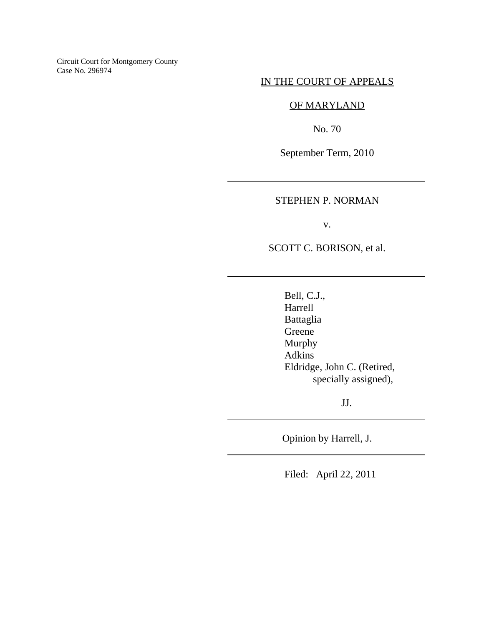Circuit Court for Montgomery County Case No. 296974

### IN THE COURT OF APPEALS

# OF MARYLAND

No. 70

September Term, 2010

# STEPHEN P. NORMAN

 $\overline{\phantom{a}}$ 

 $\overline{\phantom{a}}$ 

 $\overline{a}$ 

l

v.

SCOTT C. BORISON, et al.

 Bell, C.J., Harrell Battaglia Greene Murphy Adkins Eldridge, John C. (Retired, specially assigned),

JJ.

Opinion by Harrell, J.

Filed: April 22, 2011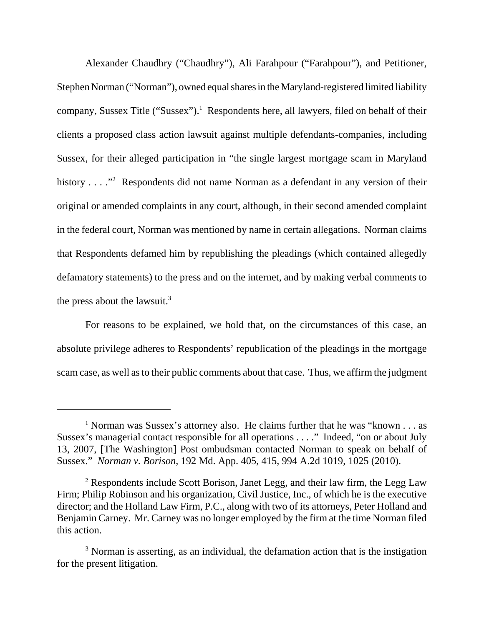Alexander Chaudhry ("Chaudhry"), Ali Farahpour ("Farahpour"), and Petitioner, Stephen Norman ("Norman"), owned equal shares in the Maryland-registered limited liability company, Sussex Title ("Sussex").<sup>1</sup> Respondents here, all lawyers, filed on behalf of their clients a proposed class action lawsuit against multiple defendants-companies, including Sussex, for their alleged participation in "the single largest mortgage scam in Maryland history  $\dots$  <sup>2</sup> Respondents did not name Norman as a defendant in any version of their original or amended complaints in any court, although, in their second amended complaint in the federal court, Norman was mentioned by name in certain allegations. Norman claims that Respondents defamed him by republishing the pleadings (which contained allegedly defamatory statements) to the press and on the internet, and by making verbal comments to the press about the lawsuit. $3$ 

For reasons to be explained, we hold that, on the circumstances of this case, an absolute privilege adheres to Respondents' republication of the pleadings in the mortgage scam case, as well as to their public comments about that case. Thus, we affirm the judgment

<sup>&</sup>lt;sup>1</sup> Norman was Sussex's attorney also. He claims further that he was "known . . . as Sussex's managerial contact responsible for all operations . . . ." Indeed, "on or about July 13, 2007, [The Washington] Post ombudsman contacted Norman to speak on behalf of Sussex." *Norman v. Borison*, 192 Md. App. 405, 415, 994 A.2d 1019, 1025 (2010).

<sup>&</sup>lt;sup>2</sup> Respondents include Scott Borison, Janet Legg, and their law firm, the Legg Law Firm; Philip Robinson and his organization, Civil Justice, Inc., of which he is the executive director; and the Holland Law Firm, P.C., along with two of its attorneys, Peter Holland and Benjamin Carney. Mr. Carney was no longer employed by the firm at the time Norman filed this action.

<sup>&</sup>lt;sup>3</sup> Norman is asserting, as an individual, the defamation action that is the instigation for the present litigation.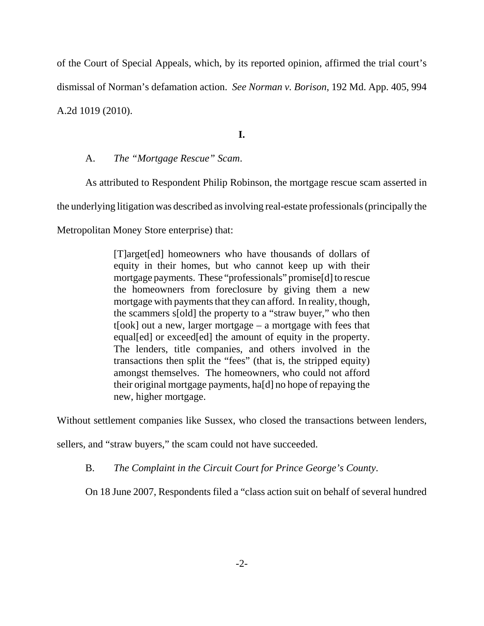of the Court of Special Appeals, which, by its reported opinion, affirmed the trial court's dismissal of Norman's defamation action. *See Norman v. Borison*, 192 Md. App. 405, 994 A.2d 1019 (2010).

**I.**

# A. *The "Mortgage Rescue" Scam*.

As attributed to Respondent Philip Robinson, the mortgage rescue scam asserted in the underlying litigation was described as involving real-estate professionals (principally the Metropolitan Money Store enterprise) that:

> [T]arget[ed] homeowners who have thousands of dollars of equity in their homes, but who cannot keep up with their mortgage payments. These "professionals" promise[d] to rescue the homeowners from foreclosure by giving them a new mortgage with payments that they can afford. In reality, though, the scammers s[old] the property to a "straw buyer," who then t[ook] out a new, larger mortgage – a mortgage with fees that equal[ed] or exceed[ed] the amount of equity in the property. The lenders, title companies, and others involved in the transactions then split the "fees" (that is, the stripped equity) amongst themselves. The homeowners, who could not afford their original mortgage payments, ha[d] no hope of repaying the new, higher mortgage.

Without settlement companies like Sussex, who closed the transactions between lenders,

sellers, and "straw buyers," the scam could not have succeeded.

B. *The Complaint in the Circuit Court for Prince George's County*.

On 18 June 2007, Respondents filed a "class action suit on behalf of several hundred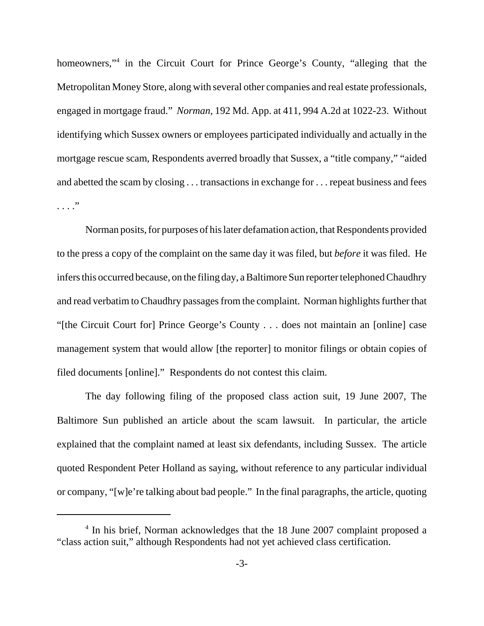homeowners,"<sup>4</sup> in the Circuit Court for Prince George's County, "alleging that the Metropolitan Money Store, along with several other companies and real estate professionals, engaged in mortgage fraud." *Norman*, 192 Md. App. at 411, 994 A.2d at 1022-23. Without identifying which Sussex owners or employees participated individually and actually in the mortgage rescue scam, Respondents averred broadly that Sussex, a "title company," "aided and abetted the scam by closing . . . transactions in exchange for . . . repeat business and fees . . . . <sup>,,</sup>

Norman posits, for purposes of his later defamation action, that Respondents provided to the press a copy of the complaint on the same day it was filed, but *before* it was filed. He infers this occurred because, on the filing day, a Baltimore Sun reporter telephoned Chaudhry and read verbatim to Chaudhry passages from the complaint. Norman highlights further that "[the Circuit Court for] Prince George's County . . . does not maintain an [online] case management system that would allow [the reporter] to monitor filings or obtain copies of filed documents [online]." Respondents do not contest this claim.

The day following filing of the proposed class action suit, 19 June 2007, The Baltimore Sun published an article about the scam lawsuit. In particular, the article explained that the complaint named at least six defendants, including Sussex. The article quoted Respondent Peter Holland as saying, without reference to any particular individual or company, "[w]e're talking about bad people." In the final paragraphs, the article, quoting

<sup>&</sup>lt;sup>4</sup> In his brief, Norman acknowledges that the 18 June 2007 complaint proposed a "class action suit," although Respondents had not yet achieved class certification.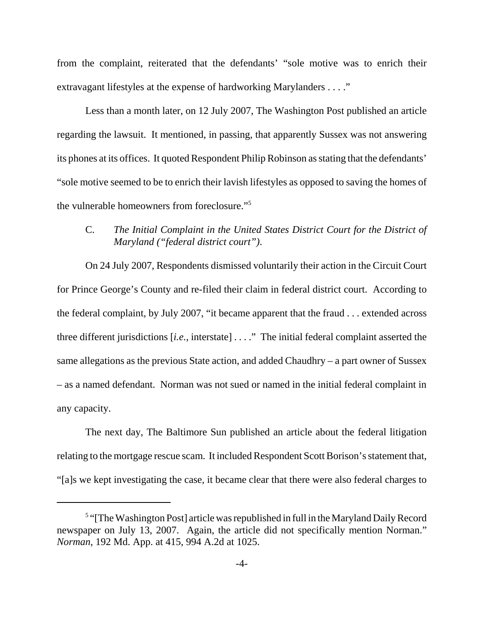from the complaint, reiterated that the defendants' "sole motive was to enrich their extravagant lifestyles at the expense of hardworking Marylanders . . . ."

Less than a month later, on 12 July 2007, The Washington Post published an article regarding the lawsuit. It mentioned, in passing, that apparently Sussex was not answering its phones at its offices. It quoted Respondent Philip Robinson as stating that the defendants' "sole motive seemed to be to enrich their lavish lifestyles as opposed to saving the homes of the vulnerable homeowners from foreclosure."5

# C. *The Initial Complaint in the United States District Court for the District of Maryland ("federal district court")*.

On 24 July 2007, Respondents dismissed voluntarily their action in the Circuit Court for Prince George's County and re-filed their claim in federal district court. According to the federal complaint, by July 2007, "it became apparent that the fraud . . . extended across three different jurisdictions [*i.e.*, interstate] . . . ." The initial federal complaint asserted the same allegations as the previous State action, and added Chaudhry – a part owner of Sussex – as a named defendant. Norman was not sued or named in the initial federal complaint in any capacity.

The next day, The Baltimore Sun published an article about the federal litigation relating to the mortgage rescue scam. It included Respondent Scott Borison's statement that, "[a]s we kept investigating the case, it became clear that there were also federal charges to

<sup>&</sup>lt;sup>5</sup> "[The Washington Post] article was republished in full in the Maryland Daily Record newspaper on July 13, 2007. Again, the article did not specifically mention Norman." *Norman*, 192 Md. App. at 415, 994 A.2d at 1025.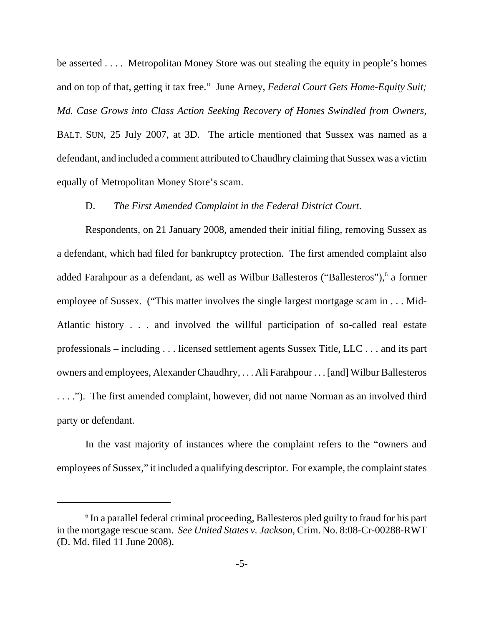be asserted . . . . Metropolitan Money Store was out stealing the equity in people's homes and on top of that, getting it tax free." June Arney, *Federal Court Gets Home-Equity Suit; Md. Case Grows into Class Action Seeking Recovery of Homes Swindled from Owners*, BALT. SUN, 25 July 2007, at 3D. The article mentioned that Sussex was named as a defendant, and included a comment attributed to Chaudhry claiming that Sussex was a victim equally of Metropolitan Money Store's scam.

### D. *The First Amended Complaint in the Federal District Court*.

Respondents, on 21 January 2008, amended their initial filing, removing Sussex as a defendant, which had filed for bankruptcy protection. The first amended complaint also added Farahpour as a defendant, as well as Wilbur Ballesteros ("Ballesteros"), <sup>6</sup> a former employee of Sussex. ("This matter involves the single largest mortgage scam in . . . Mid-Atlantic history . . . and involved the willful participation of so-called real estate professionals – including . . . licensed settlement agents Sussex Title, LLC . . . and its part owners and employees, Alexander Chaudhry, . . . Ali Farahpour . . . [and] Wilbur Ballesteros . . . ."). The first amended complaint, however, did not name Norman as an involved third party or defendant.

In the vast majority of instances where the complaint refers to the "owners and employees of Sussex," it included a qualifying descriptor. For example, the complaint states

<sup>&</sup>lt;sup>6</sup> In a parallel federal criminal proceeding, Ballesteros pled guilty to fraud for his part in the mortgage rescue scam. *See United States v. Jackson*, Crim. No. 8:08-Cr-00288-RWT (D. Md. filed 11 June 2008).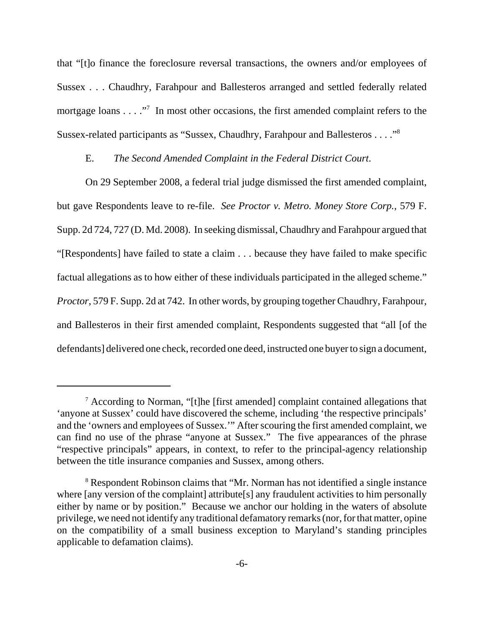that "[t]o finance the foreclosure reversal transactions, the owners and/or employees of Sussex . . . Chaudhry, Farahpour and Ballesteros arranged and settled federally related mortgage loans  $\dots$ ."<sup>7</sup> In most other occasions, the first amended complaint refers to the Sussex-related participants as "Sussex, Chaudhry, Farahpour and Ballesteros . . . ."8

## E. *The Second Amended Complaint in the Federal District Court*.

On 29 September 2008, a federal trial judge dismissed the first amended complaint, but gave Respondents leave to re-file. *See Proctor v. Metro. Money Store Corp.*, 579 F. Supp. 2d 724, 727 (D. Md. 2008). In seeking dismissal, Chaudhry and Farahpour argued that "[Respondents] have failed to state a claim . . . because they have failed to make specific factual allegations as to how either of these individuals participated in the alleged scheme." *Proctor*, 579 F. Supp. 2d at 742. In other words, by grouping together Chaudhry, Farahpour, and Ballesteros in their first amended complaint, Respondents suggested that "all [of the defendants] delivered one check, recorded one deed, instructed one buyer to sign a document,

<sup>&</sup>lt;sup>7</sup> According to Norman, "[t]he [first amended] complaint contained allegations that 'anyone at Sussex' could have discovered the scheme, including 'the respective principals' and the 'owners and employees of Sussex.'" After scouring the first amended complaint, we can find no use of the phrase "anyone at Sussex." The five appearances of the phrase "respective principals" appears, in context, to refer to the principal-agency relationship between the title insurance companies and Sussex, among others.

<sup>&</sup>lt;sup>8</sup> Respondent Robinson claims that "Mr. Norman has not identified a single instance where [any version of the complaint] attribute[s] any fraudulent activities to him personally either by name or by position." Because we anchor our holding in the waters of absolute privilege, we need not identify any traditional defamatory remarks (nor, for that matter, opine on the compatibility of a small business exception to Maryland's standing principles applicable to defamation claims).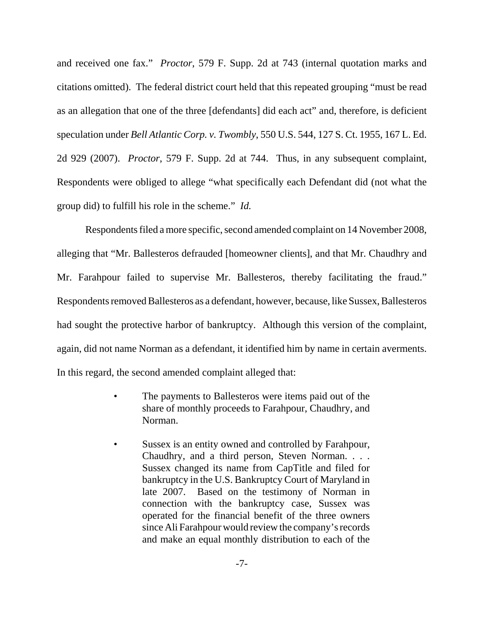and received one fax." *Proctor*, 579 F. Supp. 2d at 743 (internal quotation marks and citations omitted). The federal district court held that this repeated grouping "must be read as an allegation that one of the three [defendants] did each act" and, therefore, is deficient speculation under *Bell Atlantic Corp. v. Twombly*, 550 U.S. 544, 127 S. Ct. 1955, 167 L. Ed. 2d 929 (2007). *Proctor*, 579 F. Supp. 2d at 744. Thus, in any subsequent complaint, Respondents were obliged to allege "what specifically each Defendant did (not what the group did) to fulfill his role in the scheme." *Id.*

Respondents filed a more specific, second amended complaint on 14 November 2008, alleging that "Mr. Ballesteros defrauded [homeowner clients], and that Mr. Chaudhry and Mr. Farahpour failed to supervise Mr. Ballesteros, thereby facilitating the fraud." Respondents removed Ballesteros as a defendant, however, because, like Sussex, Ballesteros had sought the protective harbor of bankruptcy. Although this version of the complaint, again, did not name Norman as a defendant, it identified him by name in certain averments. In this regard, the second amended complaint alleged that:

- The payments to Ballesteros were items paid out of the share of monthly proceeds to Farahpour, Chaudhry, and Norman.
- Sussex is an entity owned and controlled by Farahpour, Chaudhry, and a third person, Steven Norman. . . . Sussex changed its name from CapTitle and filed for bankruptcy in the U.S. Bankruptcy Court of Maryland in late 2007. Based on the testimony of Norman in connection with the bankruptcy case, Sussex was operated for the financial benefit of the three owners since Ali Farahpour would review the company's records and make an equal monthly distribution to each of the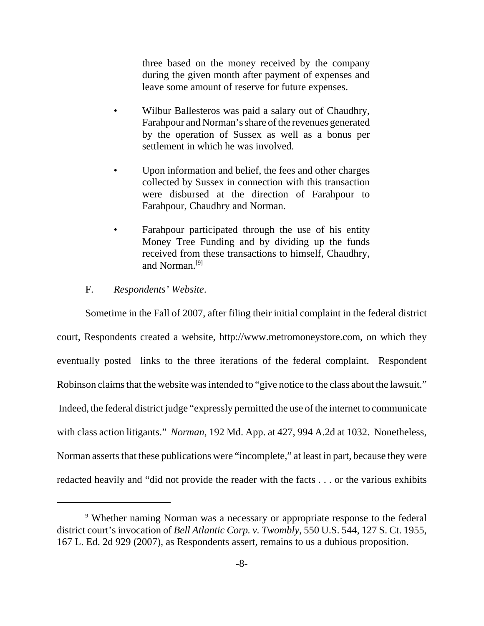three based on the money received by the company during the given month after payment of expenses and leave some amount of reserve for future expenses.

- Wilbur Ballesteros was paid a salary out of Chaudhry, Farahpour and Norman's share of the revenues generated by the operation of Sussex as well as a bonus per settlement in which he was involved.
- Upon information and belief, the fees and other charges collected by Sussex in connection with this transaction were disbursed at the direction of Farahpour to Farahpour, Chaudhry and Norman.
- Farahpour participated through the use of his entity Money Tree Funding and by dividing up the funds received from these transactions to himself, Chaudhry, and Norman.[9]

#### F. *Respondents' Website*.

Sometime in the Fall of 2007, after filing their initial complaint in the federal district court, Respondents created a website, http://www.metromoneystore.com, on which they eventually posted links to the three iterations of the federal complaint. Respondent Robinson claims that the website was intended to "give notice to the class about the lawsuit." Indeed, the federal district judge "expressly permitted the use of the internet to communicate with class action litigants." *Norman*, 192 Md. App. at 427, 994 A.2d at 1032. Nonetheless, Norman asserts that these publications were "incomplete," at least in part, because they were redacted heavily and "did not provide the reader with the facts . . . or the various exhibits

<sup>&</sup>lt;sup>9</sup> Whether naming Norman was a necessary or appropriate response to the federal district court's invocation of *Bell Atlantic Corp. v. Twombly*, 550 U.S. 544, 127 S. Ct. 1955, 167 L. Ed. 2d 929 (2007), as Respondents assert, remains to us a dubious proposition.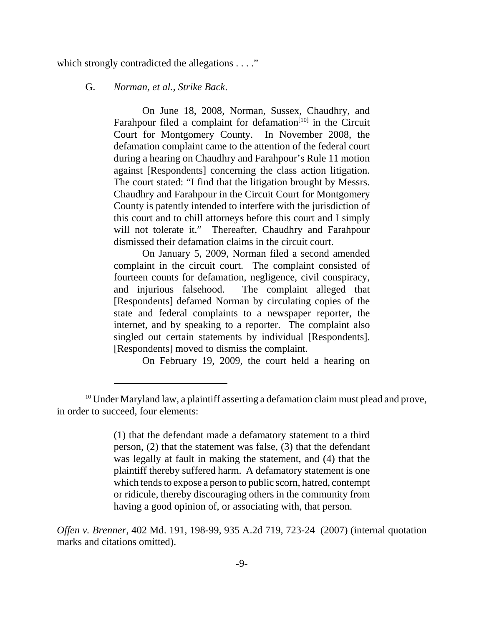which strongly contradicted the allegations . . . ."

#### G. *Norman, et al., Strike Back*.

On June 18, 2008, Norman, Sussex, Chaudhry, and Farahpour filed a complaint for defamation $[10]$  in the Circuit Court for Montgomery County. In November 2008, the defamation complaint came to the attention of the federal court during a hearing on Chaudhry and Farahpour's Rule 11 motion against [Respondents] concerning the class action litigation. The court stated: "I find that the litigation brought by Messrs. Chaudhry and Farahpour in the Circuit Court for Montgomery County is patently intended to interfere with the jurisdiction of this court and to chill attorneys before this court and I simply will not tolerate it." Thereafter, Chaudhry and Farahpour dismissed their defamation claims in the circuit court.

On January 5, 2009, Norman filed a second amended complaint in the circuit court. The complaint consisted of fourteen counts for defamation, negligence, civil conspiracy, and injurious falsehood. The complaint alleged that [Respondents] defamed Norman by circulating copies of the state and federal complaints to a newspaper reporter, the internet, and by speaking to a reporter. The complaint also singled out certain statements by individual [Respondents]. [Respondents] moved to dismiss the complaint.

On February 19, 2009, the court held a hearing on

(1) that the defendant made a defamatory statement to a third person, (2) that the statement was false, (3) that the defendant was legally at fault in making the statement, and (4) that the plaintiff thereby suffered harm. A defamatory statement is one which tends to expose a person to public scorn, hatred, contempt or ridicule, thereby discouraging others in the community from having a good opinion of, or associating with, that person.

*Offen v. Brenner*, 402 Md. 191, 198-99, 935 A.2d 719, 723-24 (2007) (internal quotation marks and citations omitted).

<sup>&</sup>lt;sup>10</sup> Under Maryland law, a plaintiff asserting a defamation claim must plead and prove, in order to succeed, four elements: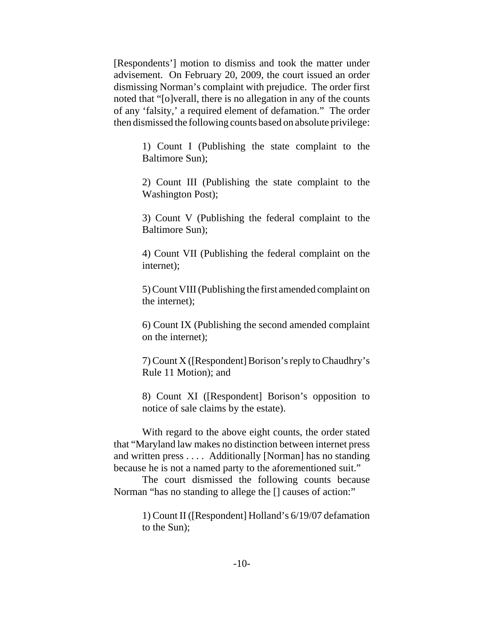[Respondents'] motion to dismiss and took the matter under advisement. On February 20, 2009, the court issued an order dismissing Norman's complaint with prejudice. The order first noted that "[o]verall, there is no allegation in any of the counts of any 'falsity,' a required element of defamation." The order then dismissed the following counts based on absolute privilege:

> 1) Count I (Publishing the state complaint to the Baltimore Sun);

> 2) Count III (Publishing the state complaint to the Washington Post);

> 3) Count V (Publishing the federal complaint to the Baltimore Sun);

> 4) Count VII (Publishing the federal complaint on the internet);

> 5) Count VIII (Publishing the first amended complaint on the internet);

> 6) Count IX (Publishing the second amended complaint on the internet);

> 7) Count X ([Respondent] Borison's reply to Chaudhry's Rule 11 Motion); and

> 8) Count XI ([Respondent] Borison's opposition to notice of sale claims by the estate).

With regard to the above eight counts, the order stated that "Maryland law makes no distinction between internet press and written press . . . . Additionally [Norman] has no standing because he is not a named party to the aforementioned suit."

The court dismissed the following counts because Norman "has no standing to allege the [] causes of action:"

> 1) Count II ([Respondent] Holland's 6/19/07 defamation to the Sun);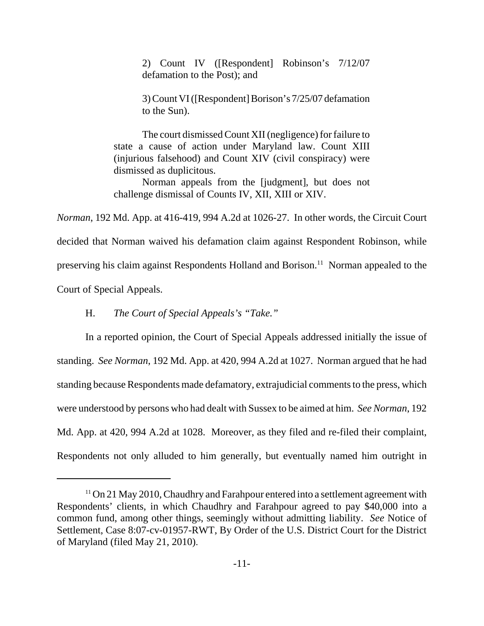2) Count IV ([Respondent] Robinson's 7/12/07 defamation to the Post); and

3) Count VI ([Respondent] Borison's 7/25/07 defamation to the Sun).

The court dismissed Count XII (negligence) for failure to state a cause of action under Maryland law. Count XIII (injurious falsehood) and Count XIV (civil conspiracy) were dismissed as duplicitous.

Norman appeals from the [judgment], but does not challenge dismissal of Counts IV, XII, XIII or XIV.

*Norman*, 192 Md. App. at 416-419, 994 A.2d at 1026-27. In other words, the Circuit Court decided that Norman waived his defamation claim against Respondent Robinson, while preserving his claim against Respondents Holland and Borison.<sup>11</sup> Norman appealed to the Court of Special Appeals.

H. *The Court of Special Appeals's "Take."*

In a reported opinion, the Court of Special Appeals addressed initially the issue of standing. *See Norman*, 192 Md. App. at 420, 994 A.2d at 1027. Norman argued that he had standing because Respondents made defamatory, extrajudicial comments to the press, which were understood by persons who had dealt with Sussex to be aimed at him. *See Norman*, 192 Md. App. at 420, 994 A.2d at 1028. Moreover, as they filed and re-filed their complaint, Respondents not only alluded to him generally, but eventually named him outright in

<sup>&</sup>lt;sup>11</sup> On 21 May 2010, Chaudhry and Farahpour entered into a settlement agreement with Respondents' clients, in which Chaudhry and Farahpour agreed to pay \$40,000 into a common fund, among other things, seemingly without admitting liability. *See* Notice of Settlement, Case 8:07-cv-01957-RWT, By Order of the U.S. District Court for the District of Maryland (filed May 21, 2010).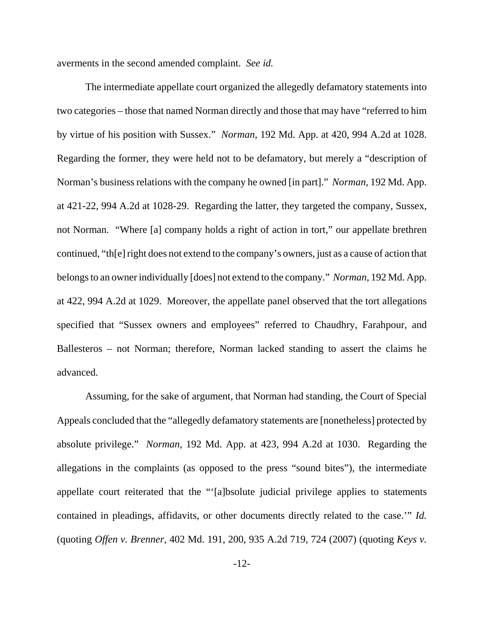averments in the second amended complaint. *See id.*

The intermediate appellate court organized the allegedly defamatory statements into two categories – those that named Norman directly and those that may have "referred to him by virtue of his position with Sussex." *Norman*, 192 Md. App. at 420, 994 A.2d at 1028. Regarding the former, they were held not to be defamatory, but merely a "description of Norman's business relations with the company he owned [in part]." *Norman*, 192 Md. App. at 421-22, 994 A.2d at 1028-29. Regarding the latter, they targeted the company, Sussex, not Norman. "Where [a] company holds a right of action in tort," our appellate brethren continued, "th[e] right does not extend to the company's owners, just as a cause of action that belongs to an owner individually [does] not extend to the company." *Norman*, 192 Md. App. at 422, 994 A.2d at 1029. Moreover, the appellate panel observed that the tort allegations specified that "Sussex owners and employees" referred to Chaudhry, Farahpour, and Ballesteros – not Norman; therefore, Norman lacked standing to assert the claims he advanced.

Assuming, for the sake of argument, that Norman had standing, the Court of Special Appeals concluded that the "allegedly defamatory statements are [nonetheless] protected by absolute privilege." *Norman*, 192 Md. App. at 423, 994 A.2d at 1030. Regarding the allegations in the complaints (as opposed to the press "sound bites"), the intermediate appellate court reiterated that the "'[a]bsolute judicial privilege applies to statements contained in pleadings, affidavits, or other documents directly related to the case.'" *Id.* (quoting *Offen v. Brenner*, 402 Md. 191, 200, 935 A.2d 719, 724 (2007) (quoting *Keys v.*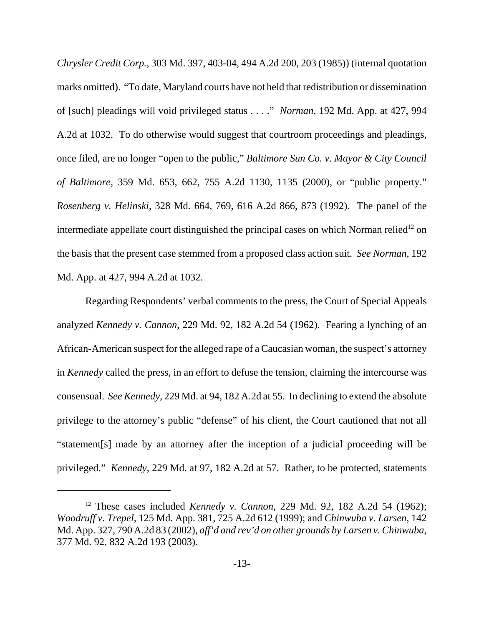*Chrysler Credit Corp.*, 303 Md. 397, 403-04, 494 A.2d 200, 203 (1985)) (internal quotation marks omitted). "To date, Maryland courts have not held that redistribution or dissemination of [such] pleadings will void privileged status . . . ." *Norman*, 192 Md. App. at 427, 994 A.2d at 1032. To do otherwise would suggest that courtroom proceedings and pleadings, once filed, are no longer "open to the public," *Baltimore Sun Co. v. Mayor & City Council of Baltimore*, 359 Md. 653, 662, 755 A.2d 1130, 1135 (2000), or "public property." *Rosenberg v. Helinski*, 328 Md. 664, 769, 616 A.2d 866, 873 (1992). The panel of the intermediate appellate court distinguished the principal cases on which Norman relied<sup>12</sup> on the basis that the present case stemmed from a proposed class action suit. *See Norman*, 192 Md. App. at 427, 994 A.2d at 1032.

Regarding Respondents' verbal comments to the press, the Court of Special Appeals analyzed *Kennedy v. Cannon*, 229 Md. 92, 182 A.2d 54 (1962). Fearing a lynching of an African-American suspect for the alleged rape of a Caucasian woman, the suspect's attorney in *Kennedy* called the press, in an effort to defuse the tension, claiming the intercourse was consensual. *See Kennedy*, 229 Md. at 94, 182 A.2d at 55.In declining to extend the absolute privilege to the attorney's public "defense" of his client, the Court cautioned that not all "statement[s] made by an attorney after the inception of a judicial proceeding will be privileged." *Kennedy*, 229 Md. at 97, 182 A.2d at 57. Rather, to be protected, statements

<sup>12</sup> These cases included *Kennedy v. Cannon*, 229 Md. 92, 182 A.2d 54 (1962); *Woodruff v. Trepel*, 125 Md. App. 381, 725 A.2d 612 (1999); and *Chinwuba v. Larsen*, 142 Md. App. 327, 790 A.2d 83 (2002), *aff'd and rev'd on other grounds by Larsen v. Chinwuba*, 377 Md. 92, 832 A.2d 193 (2003).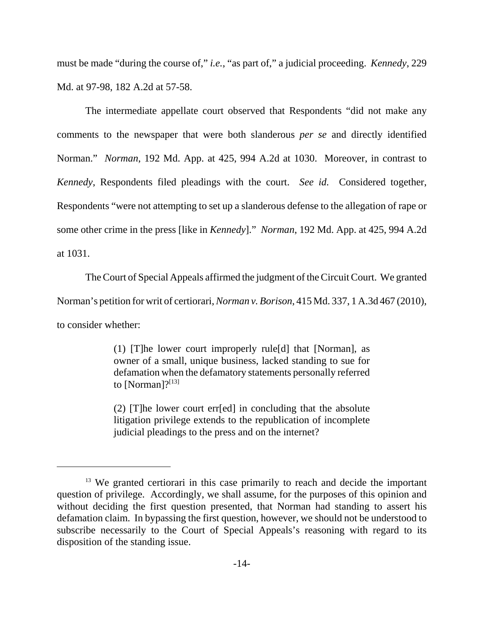must be made "during the course of," *i.e.*, "as part of," a judicial proceeding. *Kennedy*, 229 Md. at 97-98, 182 A.2d at 57-58.

The intermediate appellate court observed that Respondents "did not make any comments to the newspaper that were both slanderous *per se* and directly identified Norman." *Norman*, 192 Md. App. at 425, 994 A.2d at 1030. Moreover, in contrast to *Kennedy*, Respondents filed pleadings with the court. *See id.* Considered together, Respondents "were not attempting to set up a slanderous defense to the allegation of rape or some other crime in the press [like in *Kennedy*]." *Norman*, 192 Md. App. at 425, 994 A.2d at 1031.

The Court of Special Appeals affirmed the judgment of the Circuit Court. We granted Norman's petition for writ of certiorari, *Norman v. Borison*, 415 Md. 337, 1 A.3d 467 (2010), to consider whether:

> (1) [T]he lower court improperly rule[d] that [Norman], as owner of a small, unique business, lacked standing to sue for defamation when the defamatory statements personally referred to [Norman]? $[13]$

> (2) [T]he lower court err[ed] in concluding that the absolute litigation privilege extends to the republication of incomplete judicial pleadings to the press and on the internet?

<sup>&</sup>lt;sup>13</sup> We granted certiorari in this case primarily to reach and decide the important question of privilege. Accordingly, we shall assume, for the purposes of this opinion and without deciding the first question presented, that Norman had standing to assert his defamation claim. In bypassing the first question, however, we should not be understood to subscribe necessarily to the Court of Special Appeals's reasoning with regard to its disposition of the standing issue.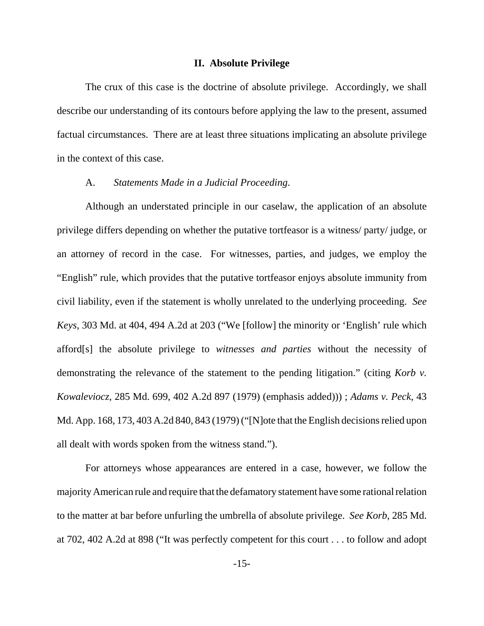#### **II. Absolute Privilege**

The crux of this case is the doctrine of absolute privilege. Accordingly, we shall describe our understanding of its contours before applying the law to the present, assumed factual circumstances. There are at least three situations implicating an absolute privilege in the context of this case.

#### A. *Statements Made in a Judicial Proceeding*.

Although an understated principle in our caselaw, the application of an absolute privilege differs depending on whether the putative tortfeasor is a witness/ party/ judge, or an attorney of record in the case. For witnesses, parties, and judges, we employ the "English" rule, which provides that the putative tortfeasor enjoys absolute immunity from civil liability, even if the statement is wholly unrelated to the underlying proceeding. *See Keys*, 303 Md. at 404, 494 A.2d at 203 ("We [follow] the minority or 'English' rule which afford[s] the absolute privilege to *witnesses and parties* without the necessity of demonstrating the relevance of the statement to the pending litigation." (citing *Korb v. Kowaleviocz*, 285 Md. 699, 402 A.2d 897 (1979) (emphasis added))) ; *Adams v. Peck*, 43 Md. App. 168, 173, 403 A.2d 840, 843 (1979) ("[N]ote that the English decisions relied upon all dealt with words spoken from the witness stand.").

For attorneys whose appearances are entered in a case, however, we follow the majority American rule and require that the defamatory statement have some rational relation to the matter at bar before unfurling the umbrella of absolute privilege. *See Korb*, 285 Md. at 702, 402 A.2d at 898 ("It was perfectly competent for this court . . . to follow and adopt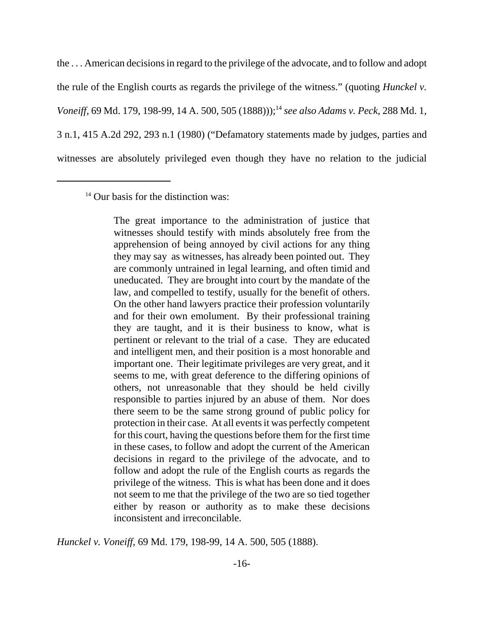the . . . American decisions in regard to the privilege of the advocate, and to follow and adopt the rule of the English courts as regards the privilege of the witness." (quoting *Hunckel v. Voneiff*, 69 Md. 179, 198-99, 14 A. 500, 505 (1888)));<sup>14</sup> see also Adams v. Peck, 288 Md. 1, 3 n.1, 415 A.2d 292, 293 n.1 (1980) ("Defamatory statements made by judges, parties and witnesses are absolutely privileged even though they have no relation to the judicial

 $14$  Our basis for the distinction was:

The great importance to the administration of justice that witnesses should testify with minds absolutely free from the apprehension of being annoyed by civil actions for any thing they may say as witnesses, has already been pointed out. They are commonly untrained in legal learning, and often timid and uneducated. They are brought into court by the mandate of the law, and compelled to testify, usually for the benefit of others. On the other hand lawyers practice their profession voluntarily and for their own emolument. By their professional training they are taught, and it is their business to know, what is pertinent or relevant to the trial of a case. They are educated and intelligent men, and their position is a most honorable and important one. Their legitimate privileges are very great, and it seems to me, with great deference to the differing opinions of others, not unreasonable that they should be held civilly responsible to parties injured by an abuse of them. Nor does there seem to be the same strong ground of public policy for protection in their case. At all events it was perfectly competent for this court, having the questions before them for the first time in these cases, to follow and adopt the current of the American decisions in regard to the privilege of the advocate, and to follow and adopt the rule of the English courts as regards the privilege of the witness. This is what has been done and it does not seem to me that the privilege of the two are so tied together either by reason or authority as to make these decisions inconsistent and irreconcilable.

*Hunckel v. Voneiff*, 69 Md. 179, 198-99, 14 A. 500, 505 (1888).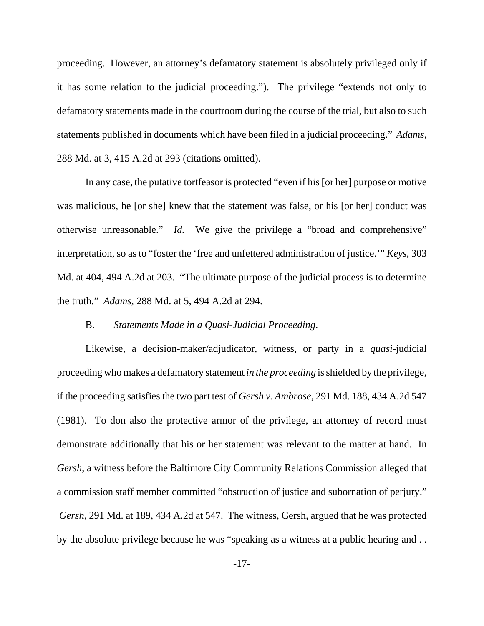proceeding. However, an attorney's defamatory statement is absolutely privileged only if it has some relation to the judicial proceeding."). The privilege "extends not only to defamatory statements made in the courtroom during the course of the trial, but also to such statements published in documents which have been filed in a judicial proceeding." *Adams*, 288 Md. at 3, 415 A.2d at 293 (citations omitted).

In any case, the putative tortfeasor is protected "even if his [or her] purpose or motive was malicious, he [or she] knew that the statement was false, or his [or her] conduct was otherwise unreasonable." *Id.* We give the privilege a "broad and comprehensive" interpretation, so as to "foster the 'free and unfettered administration of justice.'" *Keys*, 303 Md. at 404, 494 A.2d at 203. "The ultimate purpose of the judicial process is to determine the truth." *Adams*, 288 Md. at 5, 494 A.2d at 294.

#### B. *Statements Made in a Quasi-Judicial Proceeding*.

Likewise, a decision-maker/adjudicator, witness, or party in a *quasi*-judicial proceeding who makes a defamatory statement *in the proceeding* is shielded by the privilege, if the proceeding satisfies the two part test of *Gersh v. Ambrose*, 291 Md. 188, 434 A.2d 547 (1981). To don also the protective armor of the privilege, an attorney of record must demonstrate additionally that his or her statement was relevant to the matter at hand. In *Gersh*, a witness before the Baltimore City Community Relations Commission alleged that a commission staff member committed "obstruction of justice and subornation of perjury." *Gersh*, 291 Md. at 189, 434 A.2d at 547. The witness, Gersh, argued that he was protected by the absolute privilege because he was "speaking as a witness at a public hearing and . .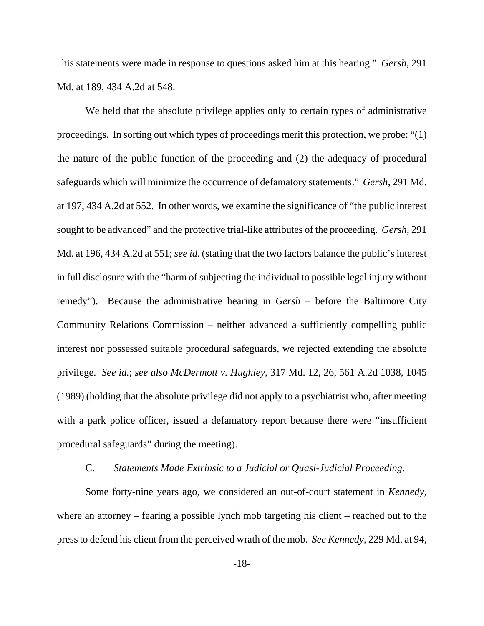. his statements were made in response to questions asked him at this hearing." *Gersh*, 291 Md. at 189, 434 A.2d at 548.

We held that the absolute privilege applies only to certain types of administrative proceedings. In sorting out which types of proceedings merit this protection, we probe: "(1) the nature of the public function of the proceeding and (2) the adequacy of procedural safeguards which will minimize the occurrence of defamatory statements." *Gersh*, 291 Md. at 197, 434 A.2d at 552. In other words, we examine the significance of "the public interest sought to be advanced" and the protective trial-like attributes of the proceeding. *Gersh*, 291 Md. at 196, 434 A.2d at 551; *see id.* (stating that the two factors balance the public's interest in full disclosure with the "harm of subjecting the individual to possible legal injury without remedy"). Because the administrative hearing in *Gersh* – before the Baltimore City Community Relations Commission – neither advanced a sufficiently compelling public interest nor possessed suitable procedural safeguards, we rejected extending the absolute privilege. *See id.*; *see also McDermott v. Hughley*, 317 Md. 12, 26, 561 A.2d 1038, 1045 (1989) (holding that the absolute privilege did not apply to a psychiatrist who, after meeting with a park police officer, issued a defamatory report because there were "insufficient" procedural safeguards" during the meeting).

#### C. *Statements Made Extrinsic to a Judicial or Quasi-Judicial Proceeding*.

Some forty-nine years ago, we considered an out-of-court statement in *Kennedy*, where an attorney – fearing a possible lynch mob targeting his client – reached out to the press to defend his client from the perceived wrath of the mob. *See Kennedy*, 229 Md. at 94,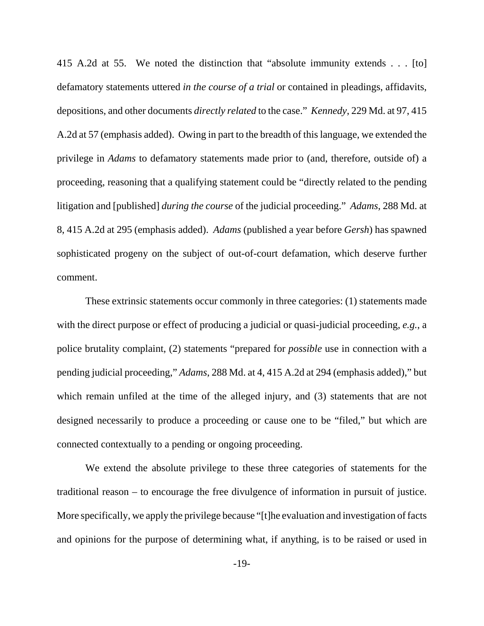415 A.2d at 55. We noted the distinction that "absolute immunity extends . . . [to] defamatory statements uttered *in the course of a trial* or contained in pleadings, affidavits, depositions, and other documents *directly related* to the case." *Kennedy*, 229 Md. at 97, 415 A.2d at 57 (emphasis added). Owing in part to the breadth of this language, we extended the privilege in *Adams* to defamatory statements made prior to (and, therefore, outside of) a proceeding, reasoning that a qualifying statement could be "directly related to the pending litigation and [published] *during the course* of the judicial proceeding." *Adams*, 288 Md. at 8, 415 A.2d at 295 (emphasis added). *Adams* (published a year before *Gersh*) has spawned sophisticated progeny on the subject of out-of-court defamation, which deserve further comment.

These extrinsic statements occur commonly in three categories: (1) statements made with the direct purpose or effect of producing a judicial or quasi-judicial proceeding, *e.g.*, a police brutality complaint, (2) statements "prepared for *possible* use in connection with a pending judicial proceeding," *Adams*, 288 Md. at 4, 415 A.2d at 294 (emphasis added)," but which remain unfiled at the time of the alleged injury, and (3) statements that are not designed necessarily to produce a proceeding or cause one to be "filed," but which are connected contextually to a pending or ongoing proceeding.

We extend the absolute privilege to these three categories of statements for the traditional reason – to encourage the free divulgence of information in pursuit of justice. More specifically, we apply the privilege because "[t]he evaluation and investigation of facts and opinions for the purpose of determining what, if anything, is to be raised or used in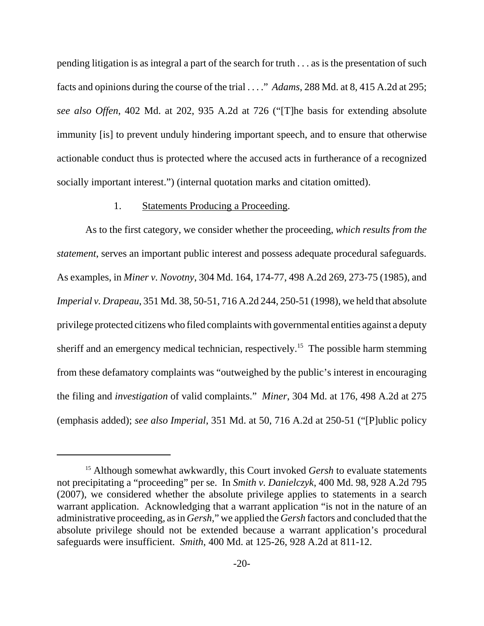pending litigation is as integral a part of the search for truth . . . as is the presentation of such facts and opinions during the course of the trial . . . ." *Adams*, 288 Md. at 8, 415 A.2d at 295; *see also Offen*, 402 Md. at 202, 935 A.2d at 726 ("[T]he basis for extending absolute immunity [is] to prevent unduly hindering important speech, and to ensure that otherwise actionable conduct thus is protected where the accused acts in furtherance of a recognized socially important interest.") (internal quotation marks and citation omitted).

#### 1. Statements Producing a Proceeding.

As to the first category, we consider whether the proceeding, *which results from the statement*, serves an important public interest and possess adequate procedural safeguards. As examples, in *Miner v. Novotny*, 304 Md. 164, 174-77, 498 A.2d 269, 273-75 (1985), and *Imperial v. Drapeau*, 351 Md. 38, 50-51, 716 A.2d 244, 250-51 (1998), we held that absolute privilege protected citizens who filed complaints with governmental entities against a deputy sheriff and an emergency medical technician, respectively.<sup>15</sup> The possible harm stemming from these defamatory complaints was "outweighed by the public's interest in encouraging the filing and *investigation* of valid complaints." *Miner*, 304 Md. at 176, 498 A.2d at 275 (emphasis added); *see also Imperial*, 351 Md. at 50, 716 A.2d at 250-51 ("[P]ublic policy

<sup>&</sup>lt;sup>15</sup> Although somewhat awkwardly, this Court invoked *Gersh* to evaluate statements not precipitating a "proceeding" per se. In *Smith v. Danielczyk*, 400 Md. 98, 928 A.2d 795 (2007), we considered whether the absolute privilege applies to statements in a search warrant application. Acknowledging that a warrant application "is not in the nature of an administrative proceeding, as in *Gersh*," we applied the *Gersh* factors and concluded that the absolute privilege should not be extended because a warrant application's procedural safeguards were insufficient. *Smith*, 400 Md. at 125-26, 928 A.2d at 811-12.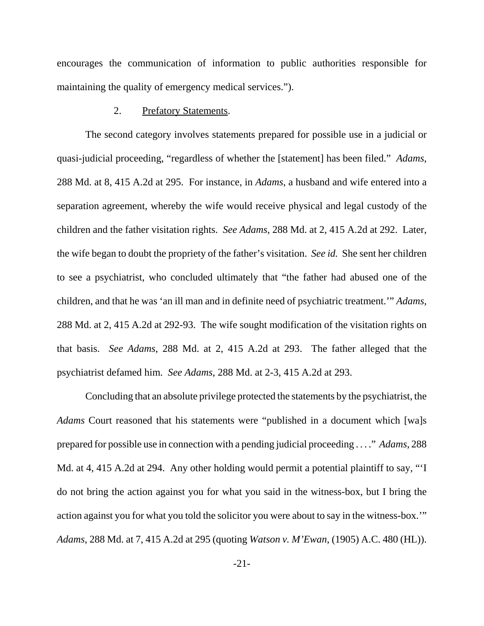encourages the communication of information to public authorities responsible for maintaining the quality of emergency medical services.").

#### 2. Prefatory Statements.

The second category involves statements prepared for possible use in a judicial or quasi-judicial proceeding, "regardless of whether the [statement] has been filed." *Adams*, 288 Md. at 8, 415 A.2d at 295. For instance, in *Adams*, a husband and wife entered into a separation agreement, whereby the wife would receive physical and legal custody of the children and the father visitation rights. *See Adams*, 288 Md. at 2, 415 A.2d at 292. Later, the wife began to doubt the propriety of the father's visitation. *See id.* She sent her children to see a psychiatrist, who concluded ultimately that "the father had abused one of the children, and that he was 'an ill man and in definite need of psychiatric treatment.'" *Adams*, 288 Md. at 2, 415 A.2d at 292-93. The wife sought modification of the visitation rights on that basis. *See Adams*, 288 Md. at 2, 415 A.2d at 293. The father alleged that the psychiatrist defamed him. *See Adams*, 288 Md. at 2-3, 415 A.2d at 293.

Concluding that an absolute privilege protected the statements by the psychiatrist, the *Adams* Court reasoned that his statements were "published in a document which [wa]s prepared for possible use in connection with a pending judicial proceeding . . . ." *Adams*, 288 Md. at 4, 415 A.2d at 294. Any other holding would permit a potential plaintiff to say, "'I do not bring the action against you for what you said in the witness-box, but I bring the action against you for what you told the solicitor you were about to say in the witness-box.'" *Adams*, 288 Md. at 7, 415 A.2d at 295 (quoting *Watson v. M'Ewan*, (1905) A.C. 480 (HL)).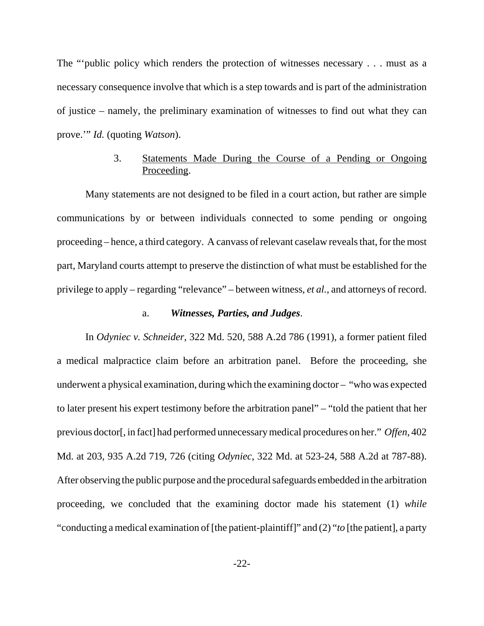The "'public policy which renders the protection of witnesses necessary . . . must as a necessary consequence involve that which is a step towards and is part of the administration of justice – namely, the preliminary examination of witnesses to find out what they can prove.'" *Id.* (quoting *Watson*).

# 3. Statements Made During the Course of a Pending or Ongoing Proceeding.

Many statements are not designed to be filed in a court action, but rather are simple communications by or between individuals connected to some pending or ongoing proceeding – hence, a third category. A canvass of relevant caselaw reveals that, for the most part, Maryland courts attempt to preserve the distinction of what must be established for the privilege to apply – regarding "relevance" – between witness, *et al.*, and attorneys of record.

#### a. *Witnesses, Parties, and Judges*.

In *Odyniec v. Schneider*, 322 Md. 520, 588 A.2d 786 (1991), a former patient filed a medical malpractice claim before an arbitration panel. Before the proceeding, she underwent a physical examination, during which the examining doctor – "who was expected to later present his expert testimony before the arbitration panel" – "told the patient that her previous doctor[, in fact] had performed unnecessary medical procedures on her." *Offen*, 402 Md. at 203, 935 A.2d 719, 726 (citing *Odyniec*, 322 Md. at 523-24, 588 A.2d at 787-88). After observing the public purpose and the procedural safeguards embedded in the arbitration proceeding, we concluded that the examining doctor made his statement (1) *while* "conducting a medical examination of [the patient-plaintiff]" and (2) "*to* [the patient], a party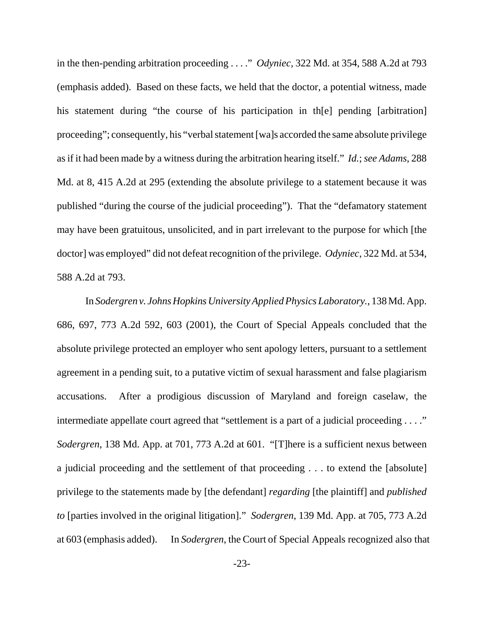in the then-pending arbitration proceeding . . . ." *Odyniec*, 322 Md. at 354, 588 A.2d at 793 (emphasis added). Based on these facts, we held that the doctor, a potential witness, made his statement during "the course of his participation in th[e] pending [arbitration] proceeding"; consequently, his "verbal statement [wa]s accorded the same absolute privilege as if it had been made by a witness during the arbitration hearing itself." *Id.*; *see Adams*, 288 Md. at 8, 415 A.2d at 295 (extending the absolute privilege to a statement because it was published "during the course of the judicial proceeding"). That the "defamatory statement may have been gratuitous, unsolicited, and in part irrelevant to the purpose for which [the doctor] was employed" did not defeat recognition of the privilege. *Odyniec*, 322 Md. at 534, 588 A.2d at 793.

In *Sodergren v. Johns Hopkins University Applied Physics Laboratory.*, 138 Md. App. 686, 697, 773 A.2d 592, 603 (2001), the Court of Special Appeals concluded that the absolute privilege protected an employer who sent apology letters, pursuant to a settlement agreement in a pending suit, to a putative victim of sexual harassment and false plagiarism accusations. After a prodigious discussion of Maryland and foreign caselaw, the intermediate appellate court agreed that "settlement is a part of a judicial proceeding . . . ." *Sodergren*, 138 Md. App. at 701, 773 A.2d at 601. "[T]here is a sufficient nexus between a judicial proceeding and the settlement of that proceeding . . . to extend the [absolute] privilege to the statements made by [the defendant] *regarding* [the plaintiff] and *published to* [parties involved in the original litigation]." *Sodergren*, 139 Md. App. at 705, 773 A.2d at 603 (emphasis added). In *Sodergren*, the Court of Special Appeals recognized also that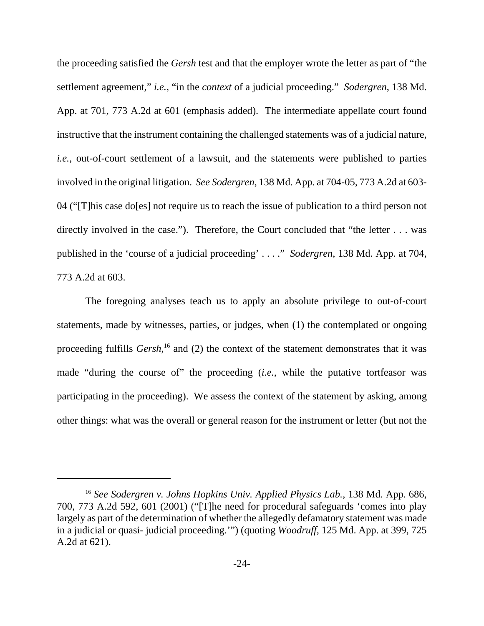the proceeding satisfied the *Gersh* test and that the employer wrote the letter as part of "the settlement agreement," *i.e.*, "in the *context* of a judicial proceeding." *Sodergren*, 138 Md. App. at 701, 773 A.2d at 601 (emphasis added). The intermediate appellate court found instructive that the instrument containing the challenged statements was of a judicial nature, *i.e.*, out-of-court settlement of a lawsuit, and the statements were published to parties involved in the original litigation. *See Sodergren*, 138 Md. App. at 704-05, 773 A.2d at 603- 04 ("[T]his case do[es] not require us to reach the issue of publication to a third person not directly involved in the case."). Therefore, the Court concluded that "the letter . . . was published in the 'course of a judicial proceeding' . . . ." *Sodergren*, 138 Md. App. at 704, 773 A.2d at 603.

The foregoing analyses teach us to apply an absolute privilege to out-of-court statements, made by witnesses, parties, or judges, when (1) the contemplated or ongoing proceeding fulfills *Gersh*,<sup>16</sup> and (2) the context of the statement demonstrates that it was made "during the course of" the proceeding (*i.e.*, while the putative tortfeasor was participating in the proceeding). We assess the context of the statement by asking, among other things: what was the overall or general reason for the instrument or letter (but not the

<sup>16</sup> *See Sodergren v. Johns Hopkins Univ. Applied Physics Lab.*, 138 Md. App. 686, 700, 773 A.2d 592, 601 (2001) ("[T]he need for procedural safeguards 'comes into play largely as part of the determination of whether the allegedly defamatory statement was made in a judicial or quasi- judicial proceeding.'") (quoting *Woodruff*, 125 Md. App. at 399, 725 A.2d at 621).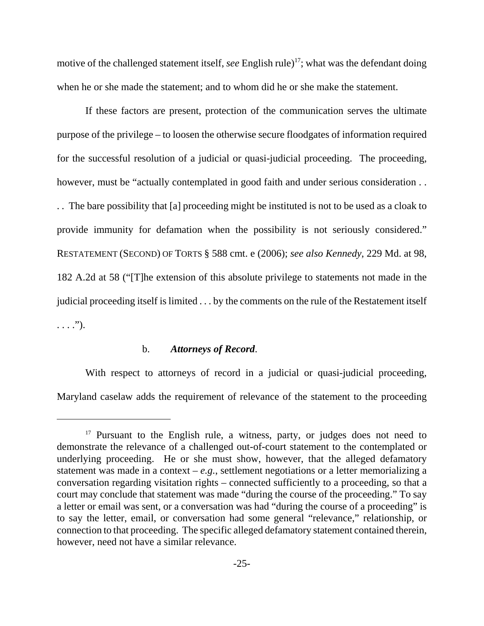motive of the challenged statement itself, *see* English rule)<sup>17</sup>; what was the defendant doing when he or she made the statement; and to whom did he or she make the statement.

If these factors are present, protection of the communication serves the ultimate purpose of the privilege – to loosen the otherwise secure floodgates of information required for the successful resolution of a judicial or quasi-judicial proceeding. The proceeding, however, must be "actually contemplated in good faith and under serious consideration . . . . The bare possibility that [a] proceeding might be instituted is not to be used as a cloak to provide immunity for defamation when the possibility is not seriously considered." RESTATEMENT (SECOND) OF TORTS § 588 cmt. e (2006); *see also Kennedy*, 229 Md. at 98, 182 A.2d at 58 ("[T]he extension of this absolute privilege to statements not made in the judicial proceeding itself is limited . . . by the comments on the rule of the Restatement itself  $\ldots$ .").

#### b. *Attorneys of Record*.

With respect to attorneys of record in a judicial or quasi-judicial proceeding, Maryland caselaw adds the requirement of relevance of the statement to the proceeding

<sup>&</sup>lt;sup>17</sup> Pursuant to the English rule, a witness, party, or judges does not need to demonstrate the relevance of a challenged out-of-court statement to the contemplated or underlying proceeding. He or she must show, however, that the alleged defamatory statement was made in a context  $-e.g.,$  settlement negotiations or a letter memorializing a conversation regarding visitation rights – connected sufficiently to a proceeding, so that a court may conclude that statement was made "during the course of the proceeding." To say a letter or email was sent, or a conversation was had "during the course of a proceeding" is to say the letter, email, or conversation had some general "relevance," relationship, or connection to that proceeding. The specific alleged defamatory statement contained therein, however, need not have a similar relevance.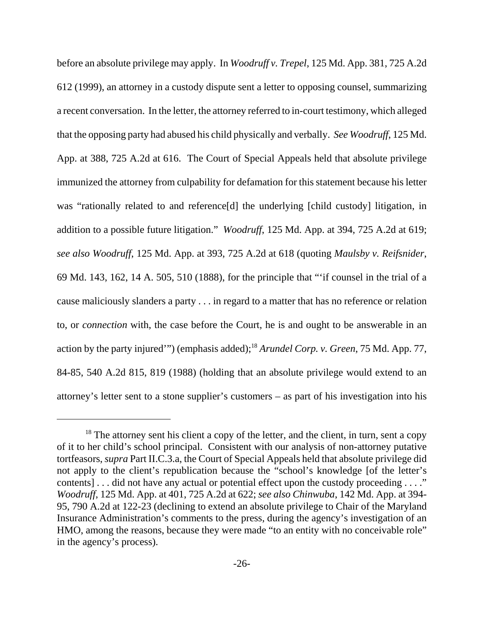before an absolute privilege may apply. In *Woodruff v. Trepel*, 125 Md. App. 381, 725 A.2d 612 (1999), an attorney in a custody dispute sent a letter to opposing counsel, summarizing a recent conversation. In the letter, the attorney referred to in-court testimony, which alleged that the opposing party had abused his child physically and verbally. *See Woodruff*, 125 Md. App. at 388, 725 A.2d at 616. The Court of Special Appeals held that absolute privilege immunized the attorney from culpability for defamation for this statement because his letter was "rationally related to and reference[d] the underlying [child custody] litigation, in addition to a possible future litigation." *Woodruff*, 125 Md. App. at 394, 725 A.2d at 619; *see also Woodruff*, 125 Md. App. at 393, 725 A.2d at 618 (quoting *Maulsby v. Reifsnider*, 69 Md. 143, 162, 14 A. 505, 510 (1888), for the principle that "'if counsel in the trial of a cause maliciously slanders a party . . . in regard to a matter that has no reference or relation to, or *connection* with, the case before the Court, he is and ought to be answerable in an action by the party injured'") (emphasis added);18 *Arundel Corp. v. Green*, 75 Md. App. 77, 84-85, 540 A.2d 815, 819 (1988) (holding that an absolute privilege would extend to an attorney's letter sent to a stone supplier's customers – as part of his investigation into his

 $18$  The attorney sent his client a copy of the letter, and the client, in turn, sent a copy of it to her child's school principal. Consistent with our analysis of non-attorney putative tortfeasors, *supra* Part II.C.3.a, the Court of Special Appeals held that absolute privilege did not apply to the client's republication because the "school's knowledge [of the letter's contents]... did not have any actual or potential effect upon the custody proceeding ...." *Woodruff*, 125 Md. App. at 401, 725 A.2d at 622; *see also Chinwuba*, 142 Md. App. at 394- 95, 790 A.2d at 122-23 (declining to extend an absolute privilege to Chair of the Maryland Insurance Administration's comments to the press, during the agency's investigation of an HMO, among the reasons, because they were made "to an entity with no conceivable role" in the agency's process).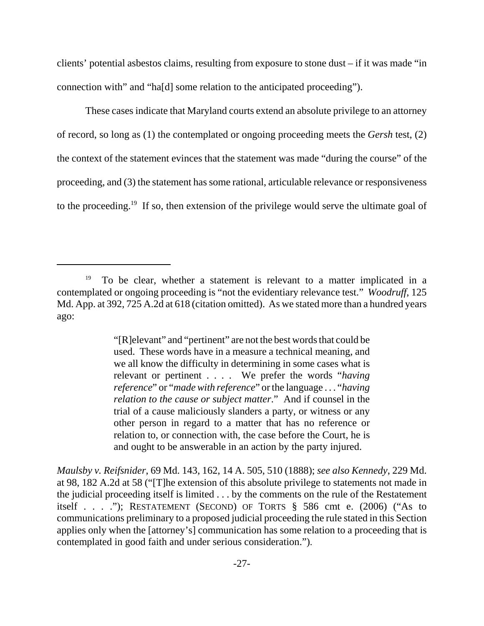clients' potential asbestos claims, resulting from exposure to stone dust – if it was made "in connection with" and "ha[d] some relation to the anticipated proceeding").

These cases indicate that Maryland courts extend an absolute privilege to an attorney of record, so long as (1) the contemplated or ongoing proceeding meets the *Gersh* test, (2) the context of the statement evinces that the statement was made "during the course" of the proceeding, and (3) the statement has some rational, articulable relevance or responsiveness to the proceeding.<sup>19</sup> If so, then extension of the privilege would serve the ultimate goal of

"[R]elevant" and "pertinent" are not the best words that could be used. These words have in a measure a technical meaning, and we all know the difficulty in determining in some cases what is relevant or pertinent . . . . We prefer the words "*having reference*" or "*made with reference*" or the language . . . "*having relation to the cause or subject matter*." And if counsel in the trial of a cause maliciously slanders a party, or witness or any other person in regard to a matter that has no reference or relation to, or connection with, the case before the Court, he is and ought to be answerable in an action by the party injured.

*Maulsby v. Reifsnider*, 69 Md. 143, 162, 14 A. 505, 510 (1888); *see also Kennedy*, 229 Md. at 98, 182 A.2d at 58 ("[T]he extension of this absolute privilege to statements not made in the judicial proceeding itself is limited . . . by the comments on the rule of the Restatement itself . . . ."); RESTATEMENT (SECOND) OF TORTS  $\S$  586 cmt e. (2006) ("As to communications preliminary to a proposed judicial proceeding the rule stated in this Section applies only when the [attorney's] communication has some relation to a proceeding that is contemplated in good faith and under serious consideration.").

 $19$  To be clear, whether a statement is relevant to a matter implicated in a contemplated or ongoing proceeding is "not the evidentiary relevance test." *Woodruff*, 125 Md. App. at 392, 725 A.2d at 618 (citation omitted). As we stated more than a hundred years ago: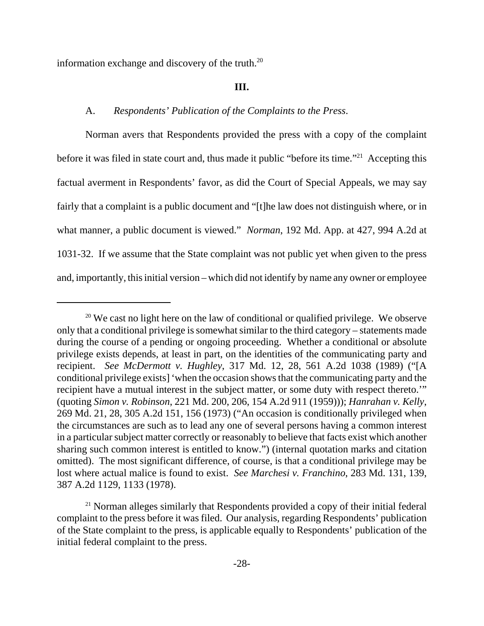information exchange and discovery of the truth. $^{20}$ 

#### **III.**

#### A. *Respondents' Publication of the Complaints to the Press*.

Norman avers that Respondents provided the press with a copy of the complaint before it was filed in state court and, thus made it public "before its time."<sup>21</sup> Accepting this factual averment in Respondents' favor, as did the Court of Special Appeals, we may say fairly that a complaint is a public document and "[t]he law does not distinguish where, or in what manner, a public document is viewed." *Norman*, 192 Md. App. at 427, 994 A.2d at 1031-32. If we assume that the State complaint was not public yet when given to the press and, importantly, this initial version – which did not identify by name any owner or employee

 $20$  We cast no light here on the law of conditional or qualified privilege. We observe only that a conditional privilege is somewhat similar to the third category – statements made during the course of a pending or ongoing proceeding. Whether a conditional or absolute privilege exists depends, at least in part, on the identities of the communicating party and recipient. *See McDermott v. Hughley*, 317 Md. 12, 28, 561 A.2d 1038 (1989) ("[A conditional privilege exists] 'when the occasion shows that the communicating party and the recipient have a mutual interest in the subject matter, or some duty with respect thereto.'" (quoting *Simon v. Robinson*, 221 Md. 200, 206, 154 A.2d 911 (1959))); *Hanrahan v. Kelly*, 269 Md. 21, 28, 305 A.2d 151, 156 (1973) ("An occasion is conditionally privileged when the circumstances are such as to lead any one of several persons having a common interest in a particular subject matter correctly or reasonably to believe that facts exist which another sharing such common interest is entitled to know.") (internal quotation marks and citation omitted). The most significant difference, of course, is that a conditional privilege may be lost where actual malice is found to exist. *See Marchesi v. Franchino*, 283 Md. 131, 139, 387 A.2d 1129, 1133 (1978).

<sup>&</sup>lt;sup>21</sup> Norman alleges similarly that Respondents provided a copy of their initial federal complaint to the press before it was filed. Our analysis, regarding Respondents' publication of the State complaint to the press, is applicable equally to Respondents' publication of the initial federal complaint to the press.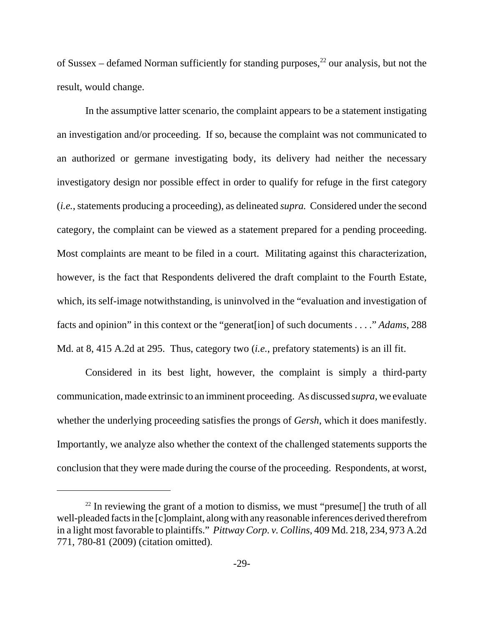of Sussex – defamed Norman sufficiently for standing purposes,  $^{22}$  our analysis, but not the result, would change.

In the assumptive latter scenario, the complaint appears to be a statement instigating an investigation and/or proceeding. If so, because the complaint was not communicated to an authorized or germane investigating body, its delivery had neither the necessary investigatory design nor possible effect in order to qualify for refuge in the first category (*i.e.*, statements producing a proceeding), as delineated *supra.* Considered under the second category, the complaint can be viewed as a statement prepared for a pending proceeding. Most complaints are meant to be filed in a court. Militating against this characterization, however, is the fact that Respondents delivered the draft complaint to the Fourth Estate, which, its self-image notwithstanding, is uninvolved in the "evaluation and investigation of facts and opinion" in this context or the "generat[ion] of such documents . . . ." *Adams*, 288 Md. at 8, 415 A.2d at 295. Thus, category two (*i.e.*, prefatory statements) is an ill fit.

Considered in its best light, however, the complaint is simply a third-party communication, made extrinsic to an imminent proceeding. As discussed *supra*, we evaluate whether the underlying proceeding satisfies the prongs of *Gersh*, which it does manifestly. Importantly, we analyze also whether the context of the challenged statements supports the conclusion that they were made during the course of the proceeding. Respondents, at worst,

<sup>&</sup>lt;sup>22</sup> In reviewing the grant of a motion to dismiss, we must "presume<sup>[]</sup> the truth of all well-pleaded facts in the [c]omplaint, along with any reasonable inferences derived therefrom in a light most favorable to plaintiffs." *Pittway Corp. v. Collins*, 409 Md. 218, 234, 973 A.2d 771, 780-81 (2009) (citation omitted).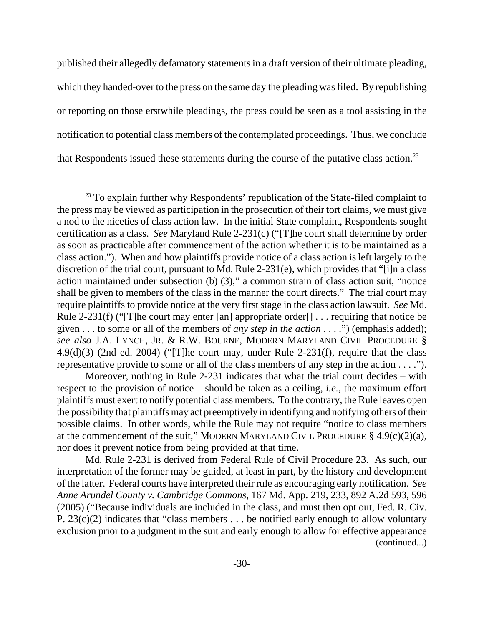published their allegedly defamatory statements in a draft version of their ultimate pleading, which they handed-over to the press on the same day the pleading was filed. By republishing or reporting on those erstwhile pleadings, the press could be seen as a tool assisting in the notification to potential class members of the contemplated proceedings. Thus, we conclude that Respondents issued these statements during the course of the putative class action.<sup>23</sup>

Moreover, nothing in Rule 2-231 indicates that what the trial court decides – with respect to the provision of notice – should be taken as a ceiling, *i.e.*, the maximum effort plaintiffs must exert to notify potential class members. To the contrary, the Rule leaves open the possibility that plaintiffs may act preemptively in identifying and notifying others of their possible claims. In other words, while the Rule may not require "notice to class members at the commencement of the suit," MODERN MARYLAND CIVIL PROCEDURE  $\S 4.9(c)(2)(a)$ , nor does it prevent notice from being provided at that time.

Md. Rule 2-231 is derived from Federal Rule of Civil Procedure 23. As such, our interpretation of the former may be guided, at least in part, by the history and development of the latter. Federal courts have interpreted their rule as encouraging early notification. *See Anne Arundel County v. Cambridge Commons*, 167 Md. App. 219, 233, 892 A.2d 593, 596 (2005) ("Because individuals are included in the class, and must then opt out, Fed. R. Civ. P.  $23(c)(2)$  indicates that "class members . . . be notified early enough to allow voluntary exclusion prior to a judgment in the suit and early enough to allow for effective appearance (continued...)

 $23$  To explain further why Respondents' republication of the State-filed complaint to the press may be viewed as participation in the prosecution of their tort claims, we must give a nod to the niceties of class action law. In the initial State complaint, Respondents sought certification as a class. *See* Maryland Rule 2-231(c) ("[T]he court shall determine by order as soon as practicable after commencement of the action whether it is to be maintained as a class action."). When and how plaintiffs provide notice of a class action is left largely to the discretion of the trial court, pursuant to Md. Rule 2-231(e), which provides that "[i]n a class action maintained under subsection (b) (3)," a common strain of class action suit, "notice shall be given to members of the class in the manner the court directs." The trial court may require plaintiffs to provide notice at the very first stage in the class action lawsuit. *See* Md. Rule 2-231(f) ("The court may enter [an] appropriate order  $\lceil \cdot \cdot \cdot \cdot \rceil$  . . requiring that notice be given . . . to some or all of the members of *any step in the action* . . . .") (emphasis added); *see also* J.A. LYNCH, JR. & R.W. BOURNE, MODERN MARYLAND CIVIL PROCEDURE §  $4.9(d)(3)$  (2nd ed. 2004) ("[T]he court may, under Rule 2-231(f), require that the class representative provide to some or all of the class members of any step in the action . . . .").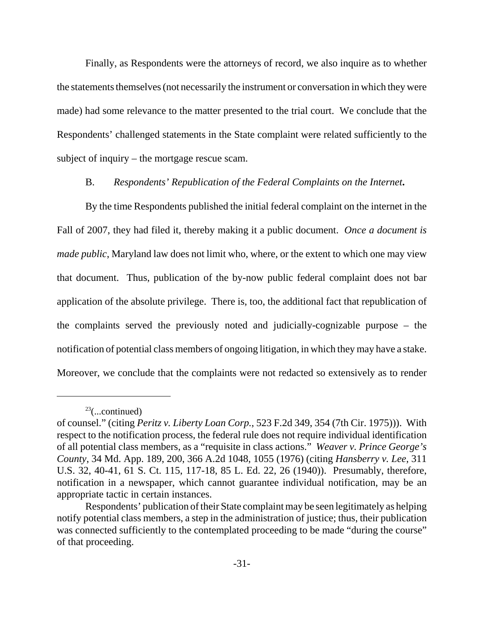Finally, as Respondents were the attorneys of record, we also inquire as to whether the statements themselves (not necessarily the instrument or conversation in which they were made) had some relevance to the matter presented to the trial court. We conclude that the Respondents' challenged statements in the State complaint were related sufficiently to the subject of inquiry – the mortgage rescue scam.

#### B. *Respondents' Republication of the Federal Complaints on the Internet***.**

By the time Respondents published the initial federal complaint on the internet in the Fall of 2007, they had filed it, thereby making it a public document. *Once a document is made public*, Maryland law does not limit who, where, or the extent to which one may view that document. Thus, publication of the by-now public federal complaint does not bar application of the absolute privilege. There is, too, the additional fact that republication of the complaints served the previously noted and judicially-cognizable purpose – the notification of potential class members of ongoing litigation, in which they may have a stake. Moreover, we conclude that the complaints were not redacted so extensively as to render

 $23$ (...continued)

of counsel." (citing *Peritz v. Liberty Loan Corp.*, 523 F.2d 349, 354 (7th Cir. 1975))). With respect to the notification process, the federal rule does not require individual identification of all potential class members, as a "requisite in class actions." *Weaver v. Prince George's County*, 34 Md. App. 189, 200, 366 A.2d 1048, 1055 (1976) (citing *Hansberry v. Lee*, 311 U.S. 32, 40-41, 61 S. Ct. 115, 117-18, 85 L. Ed. 22, 26 (1940)). Presumably, therefore, notification in a newspaper, which cannot guarantee individual notification, may be an appropriate tactic in certain instances.

Respondents' publication of their State complaint may be seen legitimately as helping notify potential class members, a step in the administration of justice; thus, their publication was connected sufficiently to the contemplated proceeding to be made "during the course" of that proceeding.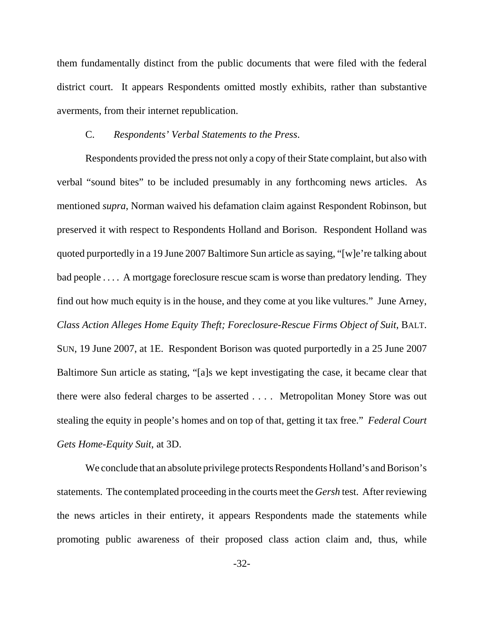them fundamentally distinct from the public documents that were filed with the federal district court. It appears Respondents omitted mostly exhibits, rather than substantive averments, from their internet republication.

# C. *Respondents' Verbal Statements to the Press*.

Respondents provided the press not only a copy of their State complaint, but also with verbal "sound bites" to be included presumably in any forthcoming news articles. As mentioned *supra*, Norman waived his defamation claim against Respondent Robinson, but preserved it with respect to Respondents Holland and Borison. Respondent Holland was quoted purportedly in a 19 June 2007 Baltimore Sun article as saying, "[w]e're talking about bad people . . . . A mortgage foreclosure rescue scam is worse than predatory lending. They find out how much equity is in the house, and they come at you like vultures." June Arney, *Class Action Alleges Home Equity Theft; Foreclosure-Rescue Firms Object of Suit*, BALT. SUN, 19 June 2007, at 1E. Respondent Borison was quoted purportedly in a 25 June 2007 Baltimore Sun article as stating, "[a]s we kept investigating the case, it became clear that there were also federal charges to be asserted . . . . Metropolitan Money Store was out stealing the equity in people's homes and on top of that, getting it tax free." *Federal Court Gets Home-Equity Suit*, at 3D.

We conclude that an absolute privilege protects Respondents Holland's and Borison's statements. The contemplated proceeding in the courts meet the *Gersh* test. After reviewing the news articles in their entirety, it appears Respondents made the statements while promoting public awareness of their proposed class action claim and, thus, while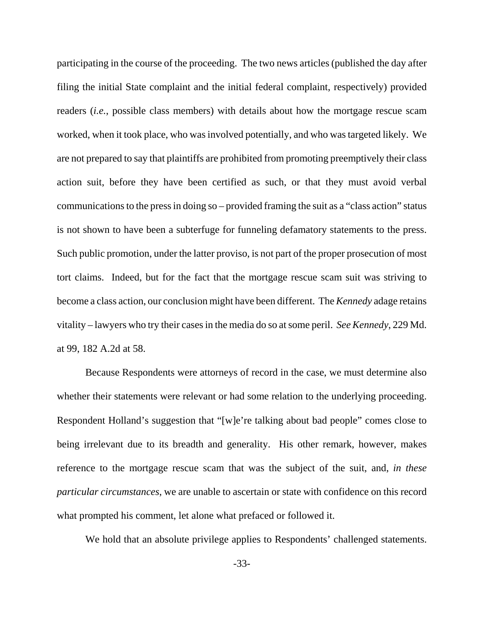participating in the course of the proceeding. The two news articles (published the day after filing the initial State complaint and the initial federal complaint, respectively) provided readers (*i.e.*, possible class members) with details about how the mortgage rescue scam worked, when it took place, who was involved potentially, and who was targeted likely. We are not prepared to say that plaintiffs are prohibited from promoting preemptively their class action suit, before they have been certified as such, or that they must avoid verbal communications to the press in doing so – provided framing the suit as a "class action" status is not shown to have been a subterfuge for funneling defamatory statements to the press. Such public promotion, under the latter proviso, is not part of the proper prosecution of most tort claims. Indeed, but for the fact that the mortgage rescue scam suit was striving to become a class action, our conclusion might have been different. The *Kennedy* adage retains vitality – lawyers who try their cases in the media do so at some peril. *See Kennedy*, 229 Md. at 99, 182 A.2d at 58.

Because Respondents were attorneys of record in the case, we must determine also whether their statements were relevant or had some relation to the underlying proceeding. Respondent Holland's suggestion that "[w]e're talking about bad people" comes close to being irrelevant due to its breadth and generality. His other remark, however, makes reference to the mortgage rescue scam that was the subject of the suit, and, *in these particular circumstances*, we are unable to ascertain or state with confidence on this record what prompted his comment, let alone what prefaced or followed it.

We hold that an absolute privilege applies to Respondents' challenged statements.